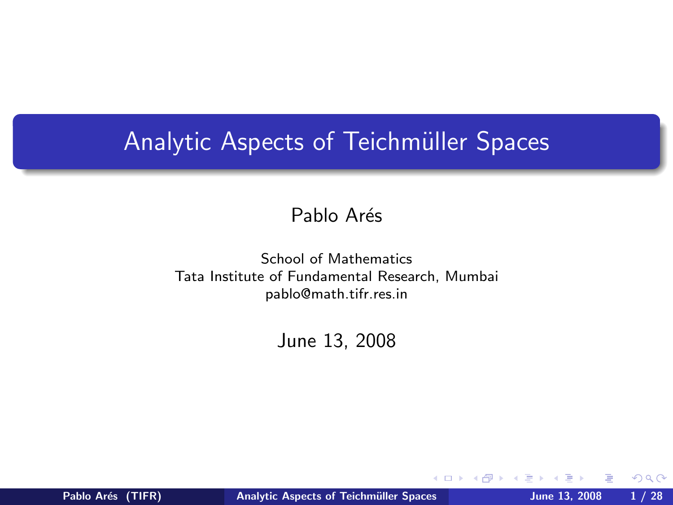## Analytic Aspects of Teichmüller Spaces

#### Pablo Arés

#### School of Mathematics Tata Institute of Fundamental Research, Mumbai pablo@math.tifr.res.in

#### June 13, 2008

<span id="page-0-0"></span>4日)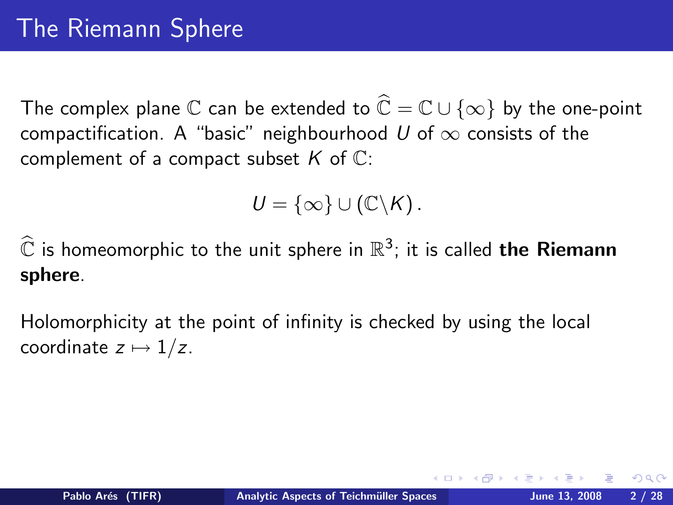The complex plane C can be extended to  $\widehat{\mathbb{C}} = \mathbb{C} \cup \{\infty\}$  by the one-point compactification. A "basic" neighbourhood U of  $\infty$  consists of the complement of a compact subset  $K$  of  $\mathbb{C}$ :

$$
U=\{\infty\}\cup\left(\mathbb{C}\backslash\mathsf{K}\right).
$$

 $\widehat{\mathbb{C}}$  is homeomorphic to the unit sphere in  $\mathbb{R}^3$ ; it is called **the Riemann** sphere.

Holomorphicity at the point of infinity is checked by using the local coordinate  $z \mapsto 1/z$ .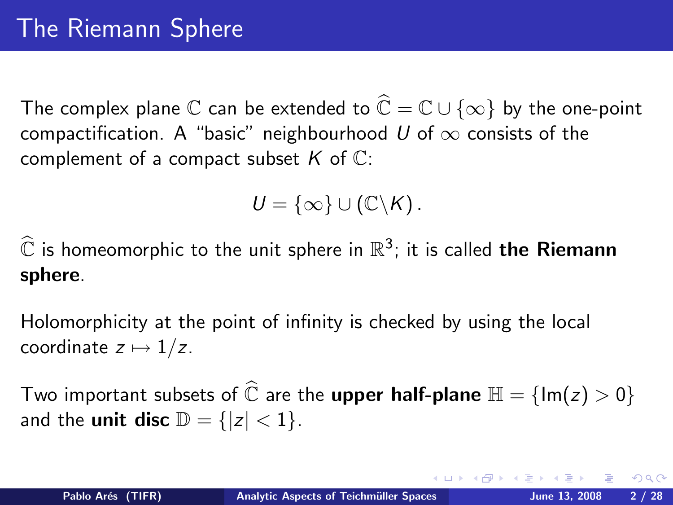The complex plane C can be extended to  $\widehat{\mathbb{C}} = \mathbb{C} \cup \{\infty\}$  by the one-point compactification. A "basic" neighbourhood U of  $\infty$  consists of the complement of a compact subset  $K$  of  $\mathbb{C}$ :

$$
U=\{\infty\}\cup\left(\mathbb{C}\backslash\mathsf{K}\right).
$$

 $\widehat{\mathbb{C}}$  is homeomorphic to the unit sphere in  $\mathbb{R}^3$ ; it is called **the Riemann** sphere.

Holomorphicity at the point of infinity is checked by using the local coordinate  $z \mapsto 1/z$ .

Two important subsets of  $\widehat{\mathbb{C}}$  are the **upper half-plane**  $\mathbb{H} = \{\text{Im}(z) > 0\}$ and the **unit disc**  $\mathbb{D} = \{ |z| < 1 \}.$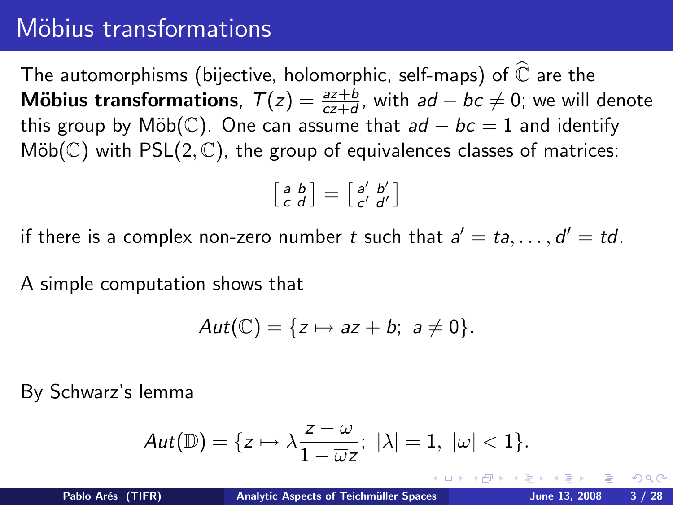## Möbius transformations

The automorphisms (bijective, holomorphic, self-maps) of  $\widehat{\mathbb{C}}$  are the **Möbius transformations**,  $T(z) = \frac{az+b}{cz+d}$ , with  $ad - bc \neq 0$ ; we will denote this group by Möb( $\mathbb{C}$ ). One can assume that  $ad - bc = 1$  and identify  $M\ddot{\mathrm{o}}\mathrm{b}(\mathbb{C})$  with PSL(2,  $\mathbb{C}$ ), the group of equivalences classes of matrices:

$$
\left[\begin{smallmatrix} a & b \\ c & d \end{smallmatrix}\right] = \left[\begin{smallmatrix} a' & b' \\ c' & d' \end{smallmatrix}\right]
$$

if there is a complex non-zero number t such that  $a' = ta, \ldots, d' = td$ .

A simple computation shows that

$$
Aut(\mathbb{C})=\{z\mapsto az+b;\ a\neq 0\}.
$$

By Schwarz's lemma

$$
Aut(\mathbb{D})=\{z\mapsto \lambda \frac{z-\omega}{1-\overline{\omega}z};\ |\lambda|=1,\ |\omega|<1\}.
$$

つのへ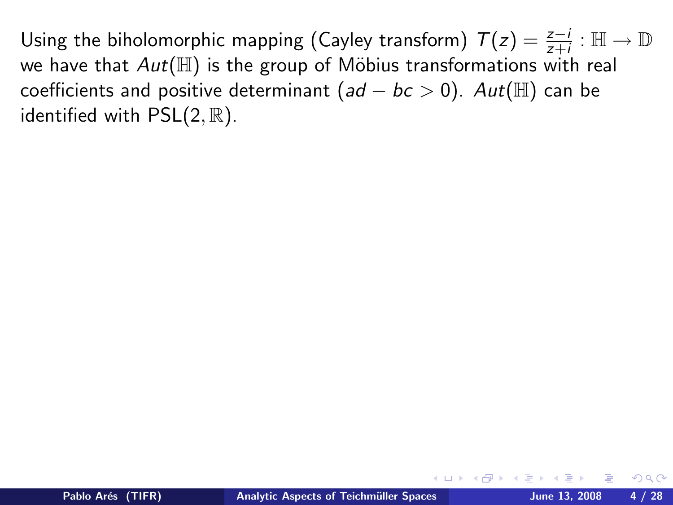Using the biholomorphic mapping (Cayley transform)  $T(z) = \frac{z-i}{z+i} : \mathbb{H} \to \mathbb{D}$ we have that  $Aut(\mathbb{H})$  is the group of Möbius transformations with real coefficients and positive determinant  $(ad - bc > 0)$ .  $Aut(\mathbb{H})$  can be identified with  $PSL(2, \mathbb{R})$ .

 $\Omega$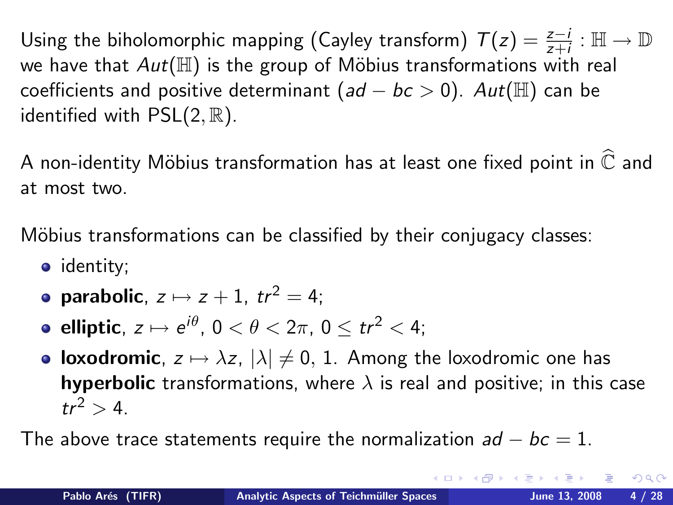Using the biholomorphic mapping (Cayley transform)  $T(z) = \frac{z-i}{z+i} : \mathbb{H} \to \mathbb{D}$ we have that  $Aut(\mathbb{H})$  is the group of Möbius transformations with real coefficients and positive determinant  $(ad - bc > 0)$ .  $Aut(\mathbb{H})$  can be identified with  $PSL(2, \mathbb{R})$ .

A non-identity Möbius transformation has at least one fixed point in  $\widehat{\mathbb{C}}$  and at most two.

Möbius transformations can be classified by their conjugacy classes:

- identity;
- parabolic,  $z \mapsto z + 1$ ,  $tr^2 = 4$ ;
- elliptic,  $z\mapsto e^{i\theta},\, 0<\theta< 2\pi,\, 0\leq tr^2< 4;$
- loxodromic,  $z \mapsto \lambda z$ ,  $|\lambda| \neq 0, 1$ . Among the loxodromic one has **hyperbolic** transformations, where  $\lambda$  is real and positive; in this case  $tr^2 > 4$ .

The above trace statements require the normalization  $ad - bc = 1$ .

 $QQ$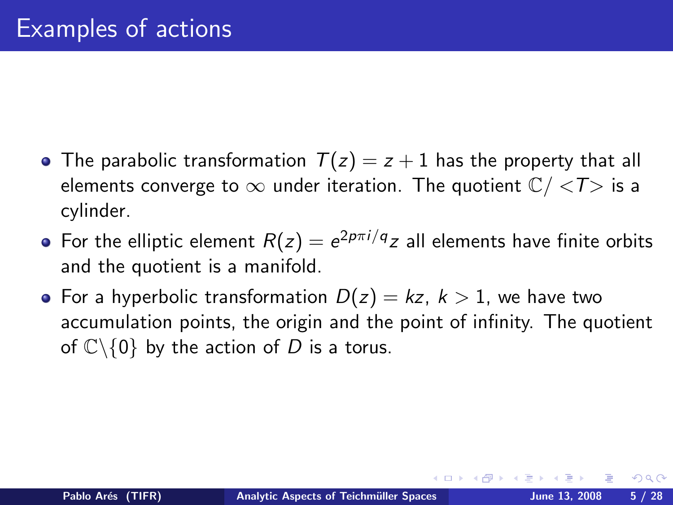- The parabolic transformation  $T(z) = z + 1$  has the property that all elements converge to  $\infty$  under iteration. The quotient  $\mathbb{C}/\langle T \rangle$  is a cylinder.
- For the elliptic element  $R(z)=e^{2p\pi i/q}z$  all elements have finite orbits and the quotient is a manifold.
- For a hyperbolic transformation  $D(z) = kz$ ,  $k > 1$ , we have two accumulation points, the origin and the point of infinity. The quotient of  $\mathbb{C}\backslash\{0\}$  by the action of D is a torus.

 $\Omega$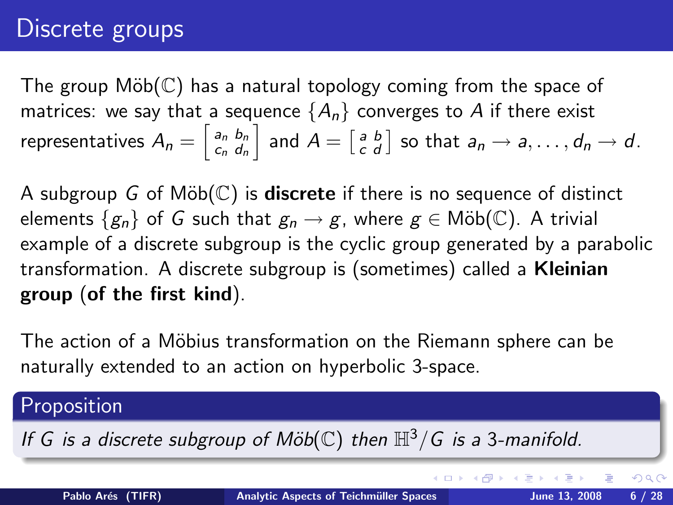## Discrete groups

The group  $M\ddot{\circ}b(\mathbb{C})$  has a natural topology coming from the space of matrices: we say that a sequence  ${A_n}$  converges to A if there exist representatives  $A_n = \left[ \begin{smallmatrix} a_n & b_n \ c_n & d_n \end{smallmatrix} \right]$  $\begin{bmatrix} a_n & b_n \ c_n & d_n \end{bmatrix}$  and  $A = \begin{bmatrix} a & b \ c & d \end{bmatrix}$  so that  $a_n \rightarrow a, \ldots, d_n \rightarrow d$ .

A subgroup G of  $M\ddot{\text{o}}b(\mathbb{C})$  is **discrete** if there is no sequence of distinct elements  $\{g_n\}$  of G such that  $g_n \to g$ , where  $g \in \text{M\"ob}(\mathbb{C})$ . A trivial example of a discrete subgroup is the cyclic group generated by a parabolic transformation. A discrete subgroup is (sometimes) called a Kleinian group (of the first kind).

The action of a Möbius transformation on the Riemann sphere can be naturally extended to an action on hyperbolic 3-space.

### Proposition If G is a discrete subgroup of Möb( $\mathbb{C}$ ) then  $\mathbb{H}^3/G$  is a 3-manifold. イロメ イ母メ イヨメ イヨメ  $QQ$ Pablo Arés (TIFR) Analytic Aspects of Teichmüller Spaces June 13, 2008 6 / 28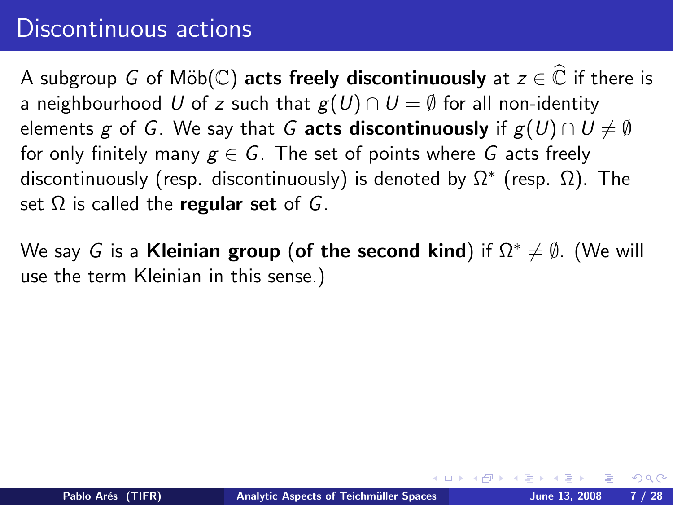## Discontinuous actions

A subgroup G of Möb(C) acts freely discontinuously at  $z \in \widehat{\mathbb{C}}$  if there is a neighbourhood U of z such that  $g(U) \cap U = \emptyset$  for all non-identity elements g of G. We say that G acts discontinuously if  $g(U) \cap U \neq \emptyset$ for only finitely many  $g \in G$ . The set of points where G acts freely discontinuously (resp. discontinuously) is denoted by  $\Omega^*$  (resp.  $\Omega$ ). The set  $\Omega$  is called the regular set of G.

We say G is a Kleinian group (of the second kind) if  $\Omega^* \neq \emptyset$ . (We will use the term Kleinian in this sense.)

 $\Omega$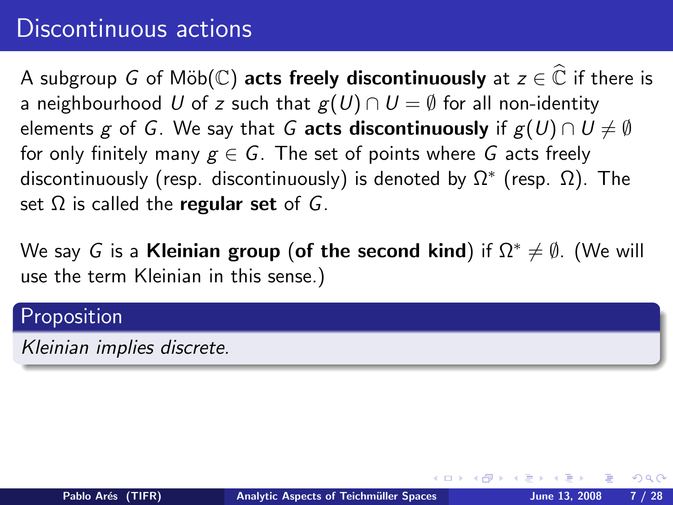## Discontinuous actions

A subgroup G of Möb( $\mathbb{C}$ ) acts freely discontinuously at  $z \in \widehat{\mathbb{C}}$  if there is a neighbourhood U of z such that  $g(U) \cap U = \emptyset$  for all non-identity elements g of G. We say that G acts discontinuously if  $g(U) \cap U \neq \emptyset$ for only finitely many  $g \in G$ . The set of points where G acts freely discontinuously (resp. discontinuously) is denoted by  $\Omega^*$  (resp.  $\Omega$ ). The set  $\Omega$  is called the regular set of G.

We say G is a Kleinian group (of the second kind) if  $\Omega^* \neq \emptyset$ . (We will use the term Kleinian in this sense.)

#### Proposition

Kleinian implies discrete.

つくい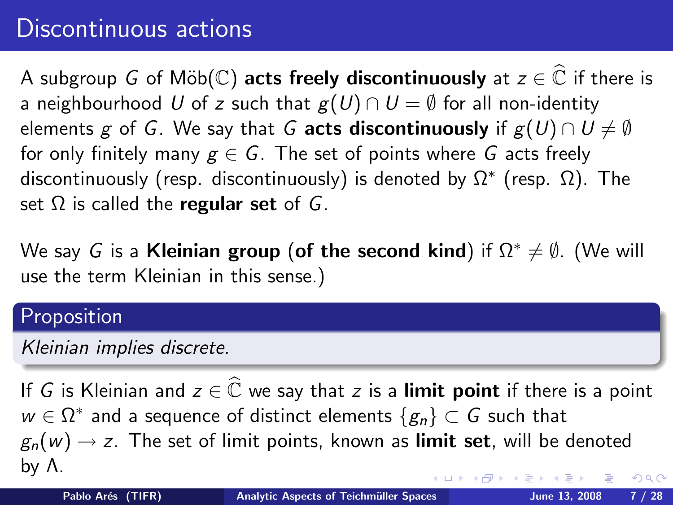## Discontinuous actions

A subgroup G of Möb( $\mathbb{C}$ ) acts freely discontinuously at  $z \in \mathbb{C}$  if there is a neighbourhood U of z such that  $g(U) \cap U = \emptyset$  for all non-identity elements g of G. We say that G acts discontinuously if  $g(U) \cap U \neq \emptyset$ for only finitely many  $g \in G$ . The set of points where G acts freely discontinuously (resp. discontinuously) is denoted by  $\Omega^*$  (resp.  $\Omega$ ). The set  $\Omega$  is called the regular set of G.

We say G is a Kleinian group (of the second kind) if  $\Omega^* \neq \emptyset$ . (We will use the term Kleinian in this sense.)

#### Proposition

Kleinian implies discrete.

If G is Kleinian and  $z \in \widehat{\mathbb{C}}$  we say that z is a limit point if there is a point  $w \in \Omega^*$  and a sequence of distinct elements  $\{g_n\} \subset \overline{G}$  such that  $g_n(w) \rightarrow z$ . The set of limit points, known as **limit set**, will be denoted by Λ.  $QQ$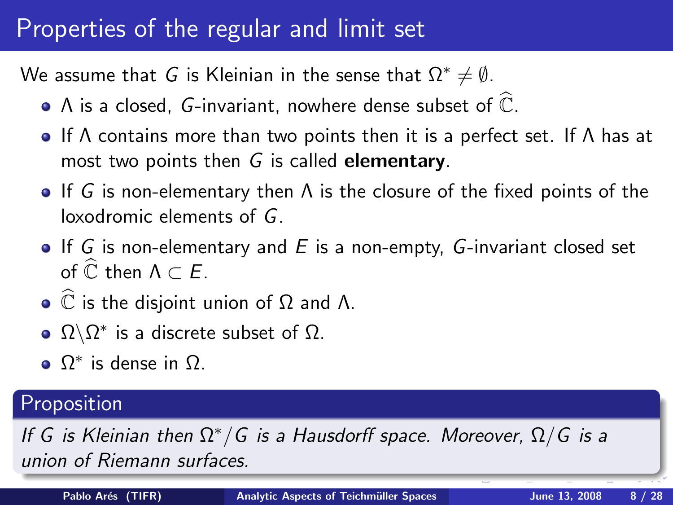## Properties of the regular and limit set

We assume that G is Kleinian in the sense that  $\Omega^* \neq \emptyset$ .

- $\bullet$  A is a closed, G-invariant, nowhere dense subset of  $\widehat{\mathbb{C}}$ .
- **If**  $\Lambda$  contains more than two points then it is a perfect set. If  $\Lambda$  has at most two points then  $G$  is called **elementary**.
- If G is non-elementary then  $\Lambda$  is the closure of the fixed points of the loxodromic elements of G.
- $\bullet$  If G is non-elementary and E is a non-empty, G-invariant closed set of  $\widehat{\mathbb{C}}$  then  $\Lambda \subset \mathcal{F}$ .
- $\bullet$   $\widehat{\mathbb{C}}$  is the disjoint union of  $\Omega$  and  $\Lambda$ .
- $\Omega\backslash\Omega^*$  is a discrete subset of  $\Omega.$
- $Ω*$  is dense in  $Ω$ .

## Proposition

If G is Kleinian then  $\Omega^*/G$  is a Hausdorff space. Moreover,  $\Omega/G$  is a union of Riemann surfaces.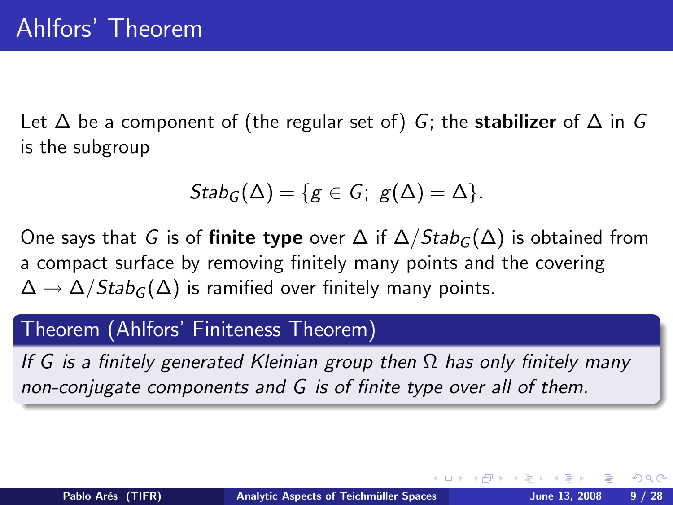Let  $\Delta$  be a component of (the regular set of) G; the **stabilizer** of  $\Delta$  in G is the subgroup

$$
Stab_G(\Delta)=\{g\in G;\ g(\Delta)=\Delta\}.
$$

One says that G is of **finite type** over  $\Delta$  if  $\Delta / \text{Stab}_G(\Delta)$  is obtained from a compact surface by removing finitely many points and the covering  $\Delta \rightarrow \Delta / \text{Stab}_{G}(\Delta)$  is ramified over finitely many points.

#### Theorem (Ahlfors' Finiteness Theorem)

If G is a finitely generated Kleinian group then  $\Omega$  has only finitely many non-conjugate components and G is of finite type over all of them.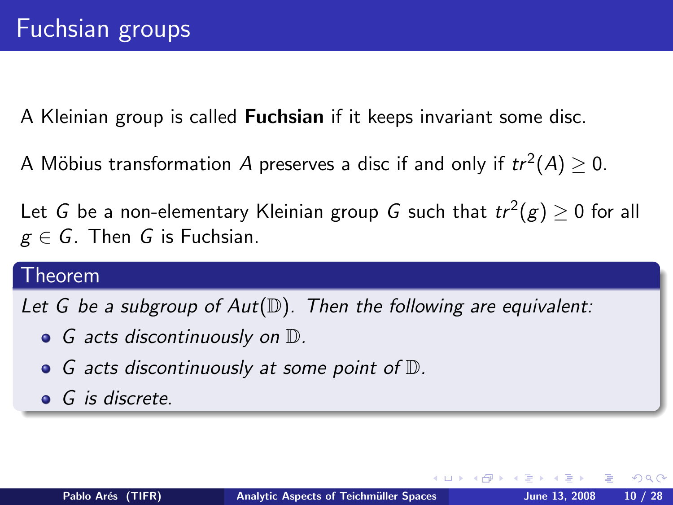A Kleinian group is called **Fuchsian** if it keeps invariant some disc.

A Möbius transformation  $A$  preserves a disc if and only if  $tr^2(A)\geq 0.$ 

Let  $G$  be a non-elementary Kleinian group  $G$  such that  $tr^2(g)\geq 0$  for all  $g \in G$ . Then G is Fuchsian.

#### Theorem

Let G be a subgroup of  $Aut(\mathbb{D})$ . Then the following are equivalent:

- **•** G acts discontinuously on  $\mathbb{D}$ .
- $\bullet$  G acts discontinuously at some point of  $\mathbb{D}$ .
- **G** is discrete.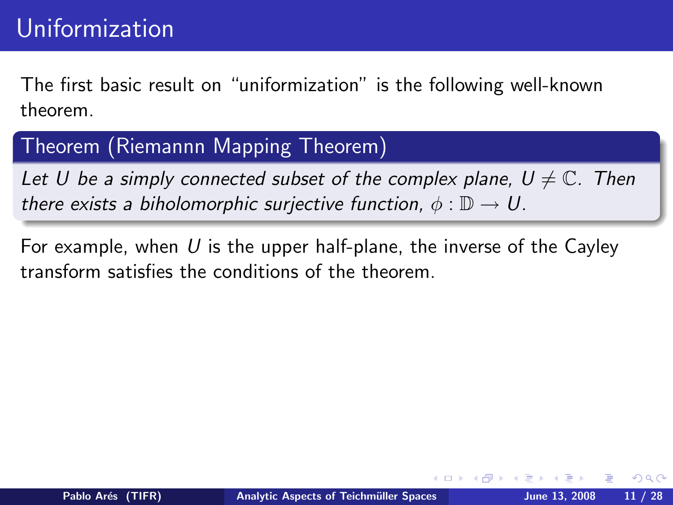The first basic result on "uniformization" is the following well-known theorem.

### Theorem (Riemannn Mapping Theorem)

Let U be a simply connected subset of the complex plane,  $U \neq \mathbb{C}$ . Then there exists a biholomorphic surjective function,  $\phi : \mathbb{D} \to U$ .

For example, when U is the upper half-plane, the inverse of the Cayley transform satisfies the conditions of the theorem.

つくい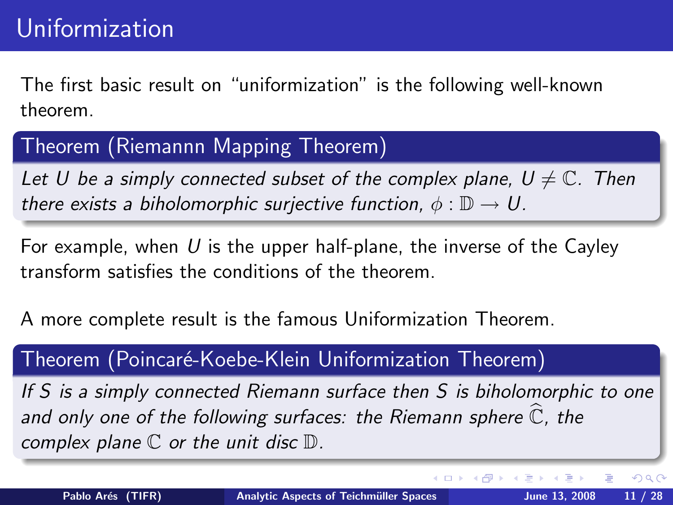The first basic result on "uniformization" is the following well-known theorem.

### Theorem (Riemannn Mapping Theorem)

Let U be a simply connected subset of the complex plane,  $U \neq \mathbb{C}$ . Then there exists a biholomorphic surjective function,  $\phi : \mathbb{D} \to U$ .

For example, when  $U$  is the upper half-plane, the inverse of the Cayley transform satisfies the conditions of the theorem.

A more complete result is the famous Uniformization Theorem.

### Theorem (Poincaré-Koebe-Klein Uniformization Theorem)

If S is a simply connected Riemann surface then S is biholomorphic to one and only one of the following surfaces: the Riemann sphere  $\widehat{\mathbb{C}}$ , the complex plane  $\mathbb C$  or the unit disc  $\mathbb D$ .

Þ

 $QQ$ 

イロト イ伊 トイヨ トイヨト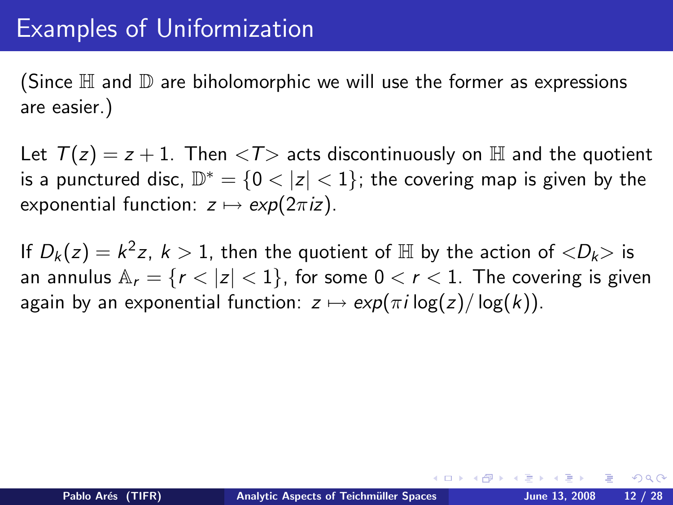## Examples of Uniformization

(Since  $\mathbb H$  and  $\mathbb D$  are biholomorphic we will use the former as expressions are easier.)

Let  $T(z) = z + 1$ . Then  $\langle T \rangle$  acts discontinuously on H and the quotient is a punctured disc,  $\mathbb{D}^* = \{0 < |z| < 1\}$ ; the covering map is given by the exponential function:  $z \mapsto \exp(2\pi iz)$ .

If  $D_k(z) = k^2 z$ ,  $k > 1$ , then the quotient of  $\mathbb H$  by the action of  $\langle D_k \rangle$  is an annulus  $A_r = \{r < |z| < 1\}$ , for some  $0 < r < 1$ . The covering is given again by an exponential function:  $z \mapsto \exp(\pi i \log(z)/\log(k))$ .

 $\Omega$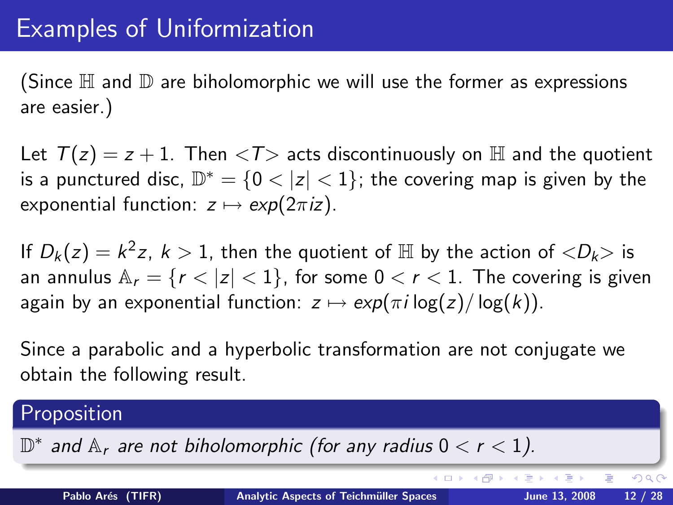## Examples of Uniformization

(Since  $\mathbb H$  and  $\mathbb D$  are biholomorphic we will use the former as expressions are easier.)

Let  $T(z) = z + 1$ . Then  $\langle T \rangle$  acts discontinuously on H and the quotient is a punctured disc,  $\mathbb{D}^* = \{0 < |z| < 1\}$ ; the covering map is given by the exponential function:  $z \mapsto \exp(2\pi iz)$ .

If  $D_k(z) = k^2 z$ ,  $k > 1$ , then the quotient of  $\mathbb H$  by the action of  $\langle D_k \rangle$  is an annulus  $A_r = \{r < |z| < 1\}$ , for some  $0 < r < 1$ . The covering is given again by an exponential function:  $z \mapsto \exp(\pi i \log(z)/\log(k))$ .

<span id="page-17-0"></span>Since a parabolic and a hyperbolic transformation are not conjugate we obtain the following result.

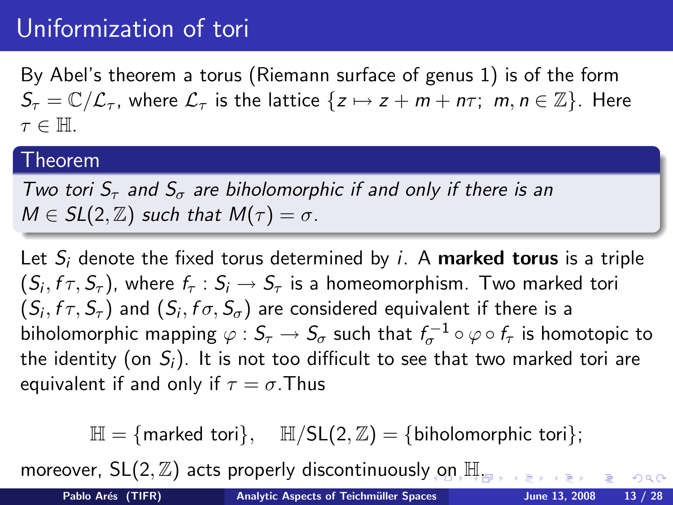## Uniformization of tori

By Abel's theorem a torus (Riemann surface of genus 1) is of the form  $S_{\tau} = \mathbb{C}/\mathcal{L}_{\tau}$ , where  $\mathcal{L}_{\tau}$  is the lattice  $\{z \mapsto z + m + n\tau; m, n \in \mathbb{Z}\}\.$  Here  $\tau \in \mathbb{H}$ .

#### Theorem

Two tori  $S_{\tau}$  and  $S_{\sigma}$  are biholomorphic if and only if there is an  $M \in SL(2, \mathbb{Z})$  such that  $M(\tau) = \sigma$ .

Let  $S_i$  denote the fixed torus determined by i. A **marked torus** is a triple  $(S_i, f \tau, S_{\tau})$ , where  $f_{\tau}: S_i \to S_{\tau}$  is a homeomorphism. Two marked tori  $(S_i, f \tau, S_{\tau})$  and  $(S_i, f \sigma, S_{\sigma})$  are considered equivalent if there is a biholomorphic mapping  $\varphi: \mathcal{S}_\tau \to \mathcal{S}_\sigma$  such that  $f_\sigma^{-1} \circ \varphi \circ f_\tau$  is homotopic to the identity (on  $S_i$ ). It is not too difficult to see that two marked tori are equivalent if and only if  $\tau = \sigma$ . Thus

<span id="page-18-0"></span> $\mathbb{H} = \{$  marked tori $\}$ ,  $\mathbb{H}/SL(2, \mathbb{Z}) = \{$  biholomorphic tori $\}$ ;

moreover,  $SL(2, \mathbb{Z})$  acts properly discontinuousl[y o](#page-17-0)n  $\mathbb{H}_{\infty}$  $\mathbb{H}_{\infty}$  $\mathbb{H}_{\infty}$ [.](#page-18-0)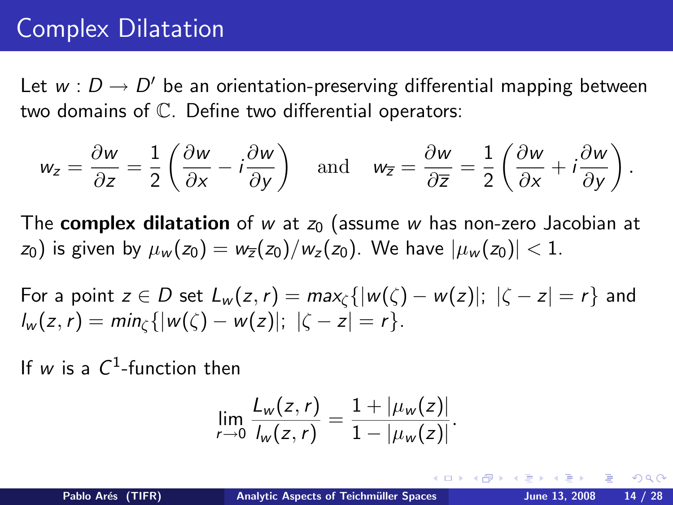## Complex Dilatation

Let  $w : D \to D'$  be an orientation-preserving differential mapping between two domains of C. Define two differential operators:

$$
w_z = \frac{\partial w}{\partial z} = \frac{1}{2} \left( \frac{\partial w}{\partial x} - i \frac{\partial w}{\partial y} \right) \quad \text{and} \quad w_{\overline{z}} = \frac{\partial w}{\partial \overline{z}} = \frac{1}{2} \left( \frac{\partial w}{\partial x} + i \frac{\partial w}{\partial y} \right).
$$

The **complex dilatation** of w at  $z<sub>0</sub>$  (assume w has non-zero Jacobian at  $z_0$ ) is given by  $\mu_w(z_0) = w_{\overline{z}}(z_0)/w_z(z_0)$ . We have  $|\mu_w(z_0)| < 1$ .

For a point  $z \in D$  set  $L_w(z, r) = max_c \{|w(\zeta) - w(z)|; |\zeta - z| = r\}$  and  $l_w(z,r) = min_{\zeta} \{|w(\zeta) - w(z)|; |\zeta - z| = r\}.$ 

If  $w$  is a  $C^1$ -function then

<span id="page-19-0"></span>
$$
\lim_{r \to 0} \frac{L_w(z,r)}{l_w(z,r)} = \frac{1 + |\mu_w(z)|}{1 - |\mu_w(z)|}.
$$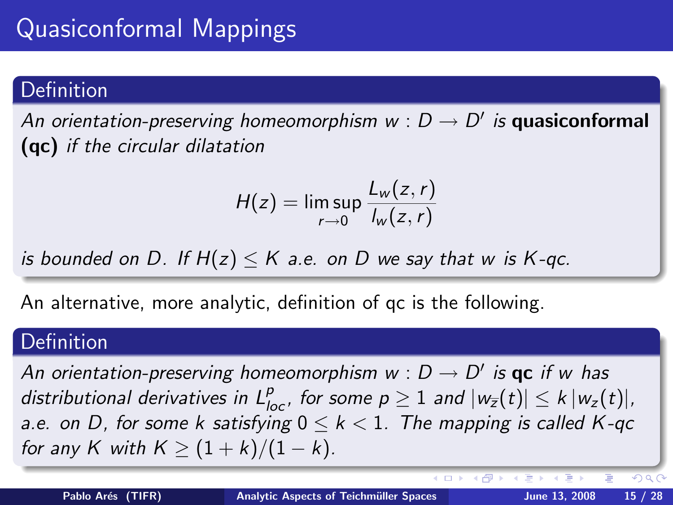### **Definition**

An orientation-preserving homeomorphism  $w : D \to D'$  is quasiconformal (qc) if the circular dilatation

$$
H(z) = \limsup_{r \to 0} \frac{L_w(z, r)}{I_w(z, r)}
$$

is bounded on D. If  $H(z) \leq K$  a.e. on D we say that w is K-qc.

An alternative, more analytic, definition of qc is the following.

### **Definition**

An orientation-preserving homeomorphism  $w : D \to D'$  is  $\mathsf{qc}$  if w has distributional derivatives in  $L_{loc}^p$ , for some  $p\geq 1$  and  $|w_{\overline{z}}(t)|\leq k\,|w_z(t)|,$ a.e. on D, for some k satisfying  $0 \leq k < 1$ . The mapping is called K-qc for any K with  $K \geq (1 + k)/(1 - k)$ .

 $QQ$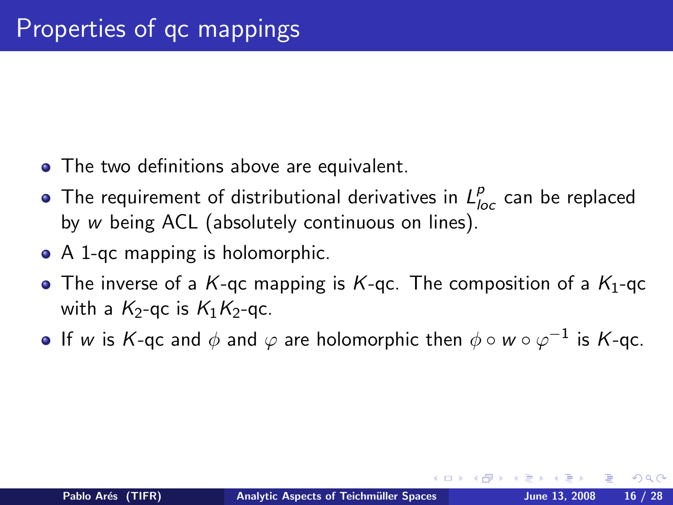- The two definitions above are equivalent.
- The requirement of distributional derivatives in  $L_{loc}^p$  can be replaced by w being ACL (absolutely continuous on lines).
- A 1-qc mapping is holomorphic.
- The inverse of a K-qc mapping is K-qc. The composition of a  $K_1$ -qc with a  $K_2$ -gc is  $K_1K_2$ -gc.
- If  $w$  is  $\mathsf{K}\text{-}\mathsf{qc}$  and  $\phi$  and  $\varphi$  are holomorphic then  $\phi \circ w \circ \varphi^{-1}$  is  $\mathsf{K}\text{-}\mathsf{qc}.$

つくい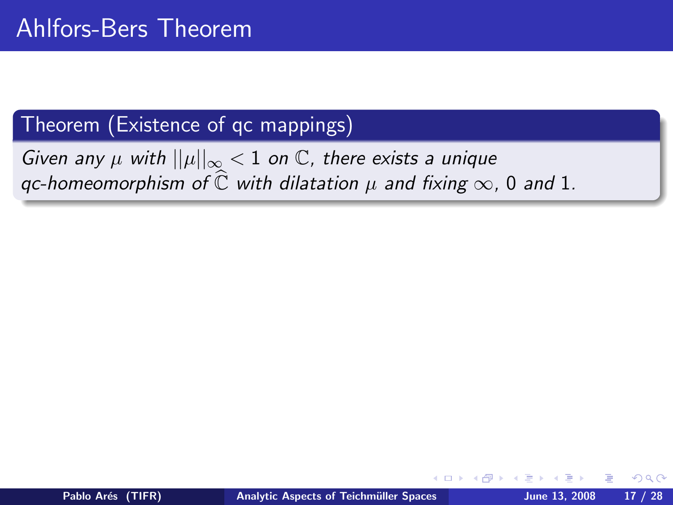### Theorem (Existence of qc mappings)

Given any  $\mu$  with  $||\mu||_{\infty} < 1$  on  $\mathbb{C}$ , there exists a unique qc-homeomorphism of  $\hat{\mathbb{C}}$  with dilatation  $\mu$  and fixing  $\infty$ , 0 and 1.

 $\Omega$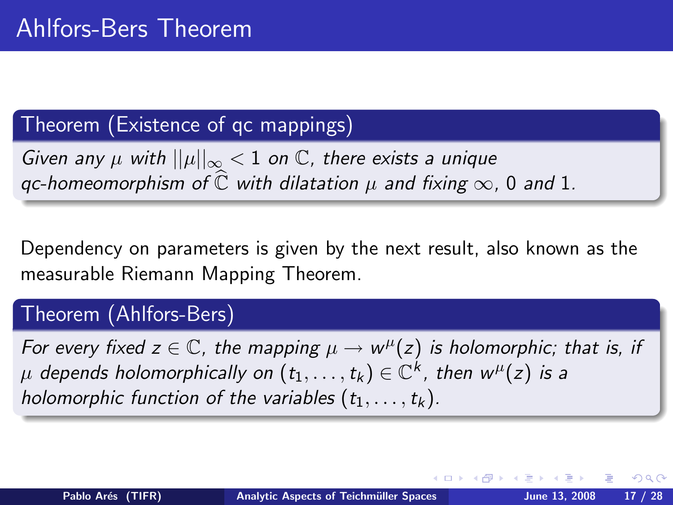### Theorem (Existence of qc mappings)

Given any  $\mu$  with  $||\mu||_{\infty} < 1$  on  $\mathbb{C}$ , there exists a unique qc-homeomorphism of  $\hat{\mathbb{C}}$  with dilatation  $\mu$  and fixing  $\infty$ , 0 and 1.

Dependency on parameters is given by the next result, also known as the measurable Riemann Mapping Theorem.

### Theorem (Ahlfors-Bers)

<span id="page-23-0"></span>For every fixed  $z \in \mathbb{C}$ , the mapping  $\mu \to w^{\mu}(z)$  is holomorphic; that is, if  $\mu$  depends holomorphically on  $(t_1,\ldots,t_k)\in \mathbb{C}^k$ , then  $w^\mu(z)$  is a holomorphic function of the variables  $(t_1, \ldots, t_k)$ .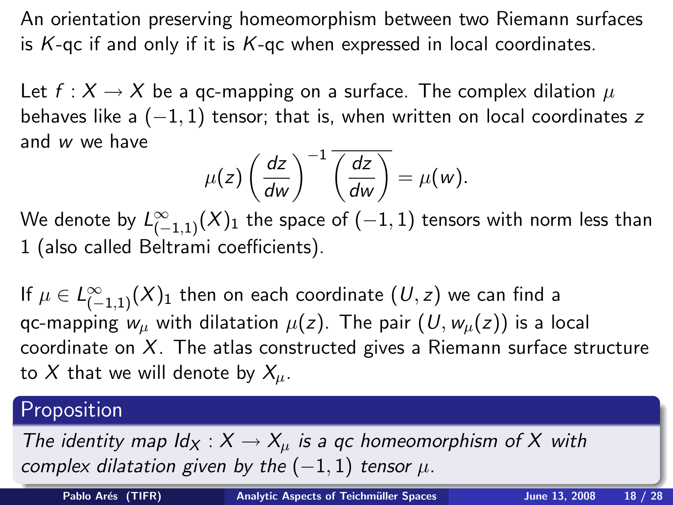An orientation preserving homeomorphism between two Riemann surfaces is  $K$ -qc if and only if it is  $K$ -qc when expressed in local coordinates.

Let  $f: X \to X$  be a gc-mapping on a surface. The complex dilation  $\mu$ behaves like a  $(-1, 1)$  tensor; that is, when written on local coordinates z and w we have

$$
\mu(z)\left(\frac{dz}{dw}\right)^{-1}\overline{\left(\frac{dz}{dw}\right)}=\mu(w).
$$

We denote by  $L^\infty_{(-1,1)}(X)_1$  the space of  $(-1,1)$  tensors with norm less than 1 (also called Beltrami coefficients).

If  $\mu\in L^{\infty}_{(-1,1)}(X)_{1}$  then on each coordinate  $(\mathit{U},z)$  we can find a qc-mapping  $w_{\mu}$  with dilatation  $\mu(z)$ . The pair  $(U, w_{\mu}(z))$  is a local coordinate on  $X$ . The atlas constructed gives a Riemann surface structure to X that we will denote by  $X_{\mu}$ .

### Proposition

The identity map  $\mathsf{Id}_X : X \to X_\mu$  is a gc homeomorphism of X with complex dilatation given by the  $(-1, 1)$  tensor  $\mu$ [.](#page-23-0)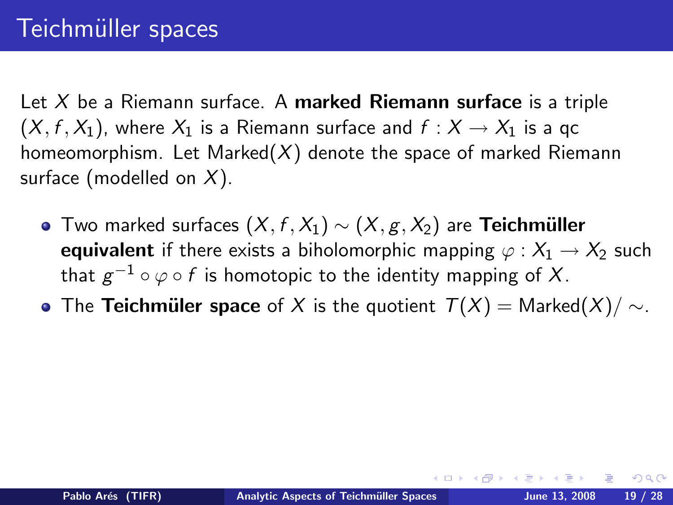Let  $X$  be a Riemann surface. A marked Riemann surface is a triple  $(X, f, X_1)$ , where  $X_1$  is a Riemann surface and  $f : X \to X_1$  is a gc homeomorphism. Let Marked $(X)$  denote the space of marked Riemann surface (modelled on  $X$ ).

- $\bullet$  Two marked surfaces  $(X, f, X_1) \sim (X, g, X_2)$  are **Teichmüller** equivalent if there exists a biholomorphic mapping  $\varphi : X_1 \to X_2$  such that  $g^{-1}\circ \varphi\circ f$  is homotopic to the identity mapping of  $X.$
- The Teichmüler space of X is the quotient  $T(X) = \text{Market}(X)/\sim$ .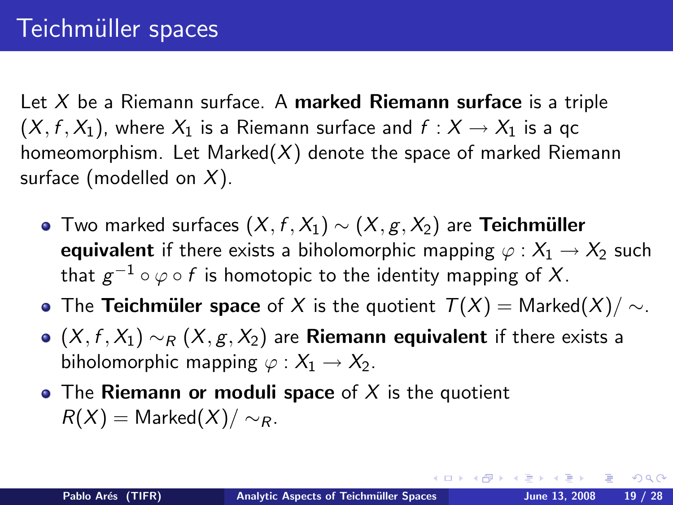Let  $X$  be a Riemann surface. A marked Riemann surface is a triple  $(X, f, X_1)$ , where  $X_1$  is a Riemann surface and  $f : X \to X_1$  is a gc homeomorphism. Let Marked $(X)$  denote the space of marked Riemann surface (modelled on  $X$ ).

- $\bullet$  Two marked surfaces  $(X, f, X_1) \sim (X, g, X_2)$  are **Teichmüller** equivalent if there exists a biholomorphic mapping  $\varphi : X_1 \to X_2$  such that  $g^{-1}\circ \varphi\circ f$  is homotopic to the identity mapping of  $X.$
- The Teichmüler space of X is the quotient  $T(X) = \text{Market}(X)/\sim$ .
- $\bullet$  (X, f, X<sub>1</sub>)  $\sim_R (X, g, X_2)$  are **Riemann equivalent** if there exists a biholomorphic mapping  $\varphi : X_1 \to X_2$ .
- The Riemann or moduli space of X is the quotient  $R(X) =$  Marked $(X)/\sim_R$ .

 $200$ 

∢ロト ∢母ト ∢ヨト ∢ヨト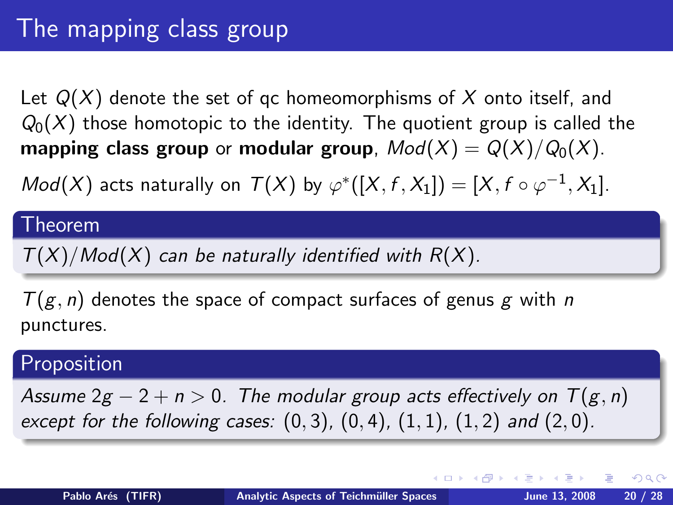Let  $Q(X)$  denote the set of qc homeomorphisms of X onto itself, and  $Q_0(X)$  those homotopic to the identity. The quotient group is called the mapping class group or modular group,  $Mod(X) = Q(X)/Q_0(X)$ .

 $Mod(X)$  acts naturally on  $T(X)$  by  $\varphi^*([X, f, X_1]) = [X, f \circ \varphi^{-1}, X_1].$ 

#### Theorem

 $T(X)/Mod(X)$  can be naturally identified with  $R(X)$ .

 $T(g, n)$  denotes the space of compact surfaces of genus g with n punctures.

#### Proposition

Assume  $2g - 2 + n > 0$ . The modular group acts effectively on  $T(g, n)$ except for the following cases:  $(0, 3)$ ,  $(0, 4)$ ,  $(1, 1)$ ,  $(1, 2)$  and  $(2, 0)$ .

 $\Omega$ 

∢ ロ ▶ ( 伊 ▶ ( 手 ▶ ( 手 ) …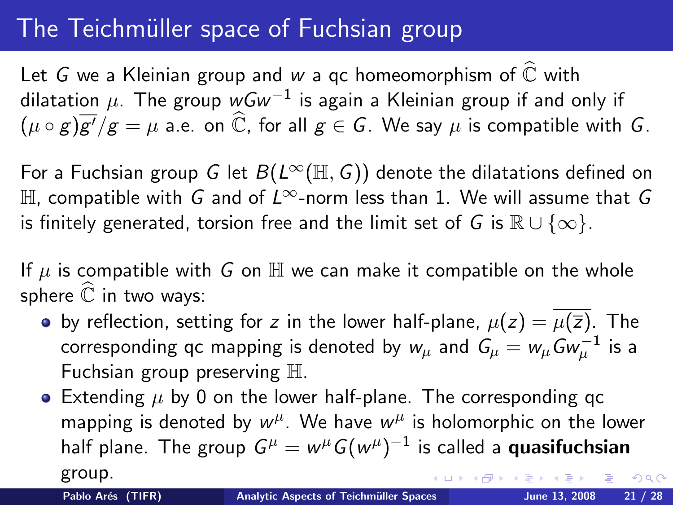## The Teichmüller space of Fuchsian group

Let G we a Kleinian group and w a qc homeomorphism of  $\widehat{\mathbb{C}}$  with dilatation  $\mu$ . The group  $wGw^{-1}$  is again a Kleinian group if and only if  $(\mu \circ g)\overline{g'}/g = \mu$  a.e. on  $\widehat{\mathbb{C}}$ , for all  $g \in G$ . We say  $\mu$  is compatible with  $G$ .

For a Fuchsian group G let  $B(L^{\infty}(\mathbb{H}, G))$  denote the dilatations defined on  $\mathbb H$ , compatible with G and of L<sup>∞</sup>-norm less than 1. We will assume that G is finitely generated, torsion free and the limit set of G is  $\mathbb{R} \cup \{\infty\}$ .

If  $\mu$  is compatible with G on  $\mathbb H$  we can make it compatible on the whole sphere  $\mathbb C$  in two ways:

- by reflection, setting for z in the lower half-plane,  $\mu(z) = \mu(\overline{z})$ . The corresponding qc mapping is denoted by  $w_\mu$  and  $\mathit{G}_{\mu}=w_\mu\mathit{G}\omega_\mu^{-1}$  is a Fuchsian group preserving H.
- Extending  $\mu$  by 0 on the lower half-plane. The corresponding qc mapping is denoted by  $w^{\mu}$ . We have  $w^{\mu}$  is holomorphic on the lower half plane. The group  $G^\mu = w^\mu G (w^\mu)^{-1}$  is called a **quasifuchsian** group.  $200$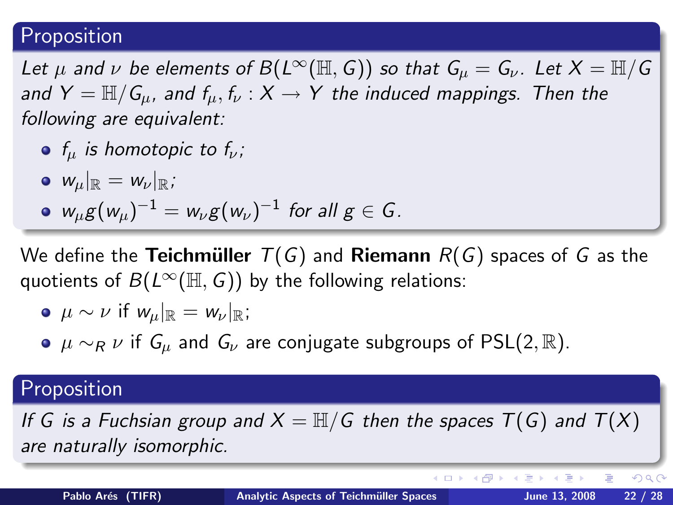### Proposition

Let  $\mu$  and  $\nu$  be elements of  $B(L^{\infty}(\mathbb{H}, G))$  so that  $G_{\mu} = G_{\nu}$ . Let  $X = \mathbb{H}/G$ and  $Y = \mathbb{H}/G_u$ , and  $f_u, f_v : X \to Y$  the induced mappings. Then the following are equivalent:

- $f_u$  is homotopic to  $f_v$ ;
- $\bullet$   $w_{\mu}|_{\mathbb{R}} = w_{\nu}|_{\mathbb{R}}$ ;
- $w_\mu g(w_\mu)^{-1} = w_\nu g(w_\nu)^{-1}$  for all  $g \in \mathcal{G}$  .

We define the **Teichmüller**  $T(G)$  and **Riemann**  $R(G)$  spaces of G as the quotients of  $B(L^{\infty}(\mathbb{H}, G))$  by the following relations:

• 
$$
\mu \sim \nu
$$
 if  $w_{\mu}|_{\mathbb{R}} = w_{\nu}|_{\mathbb{R}}$ ;

 $\bullet$   $\mu \sim_R \nu$  if  $G_{\mu}$  and  $G_{\nu}$  are conjugate subgroups of PSL(2, R).

### Proposition

If G is a Fuchsian group and  $X = \mathbb{H}/G$  then the spaces  $T(G)$  and  $T(X)$ are naturally isomorphic.

э

∢ロト ∢母ト ∢目ト ∢目ト

 $QQ$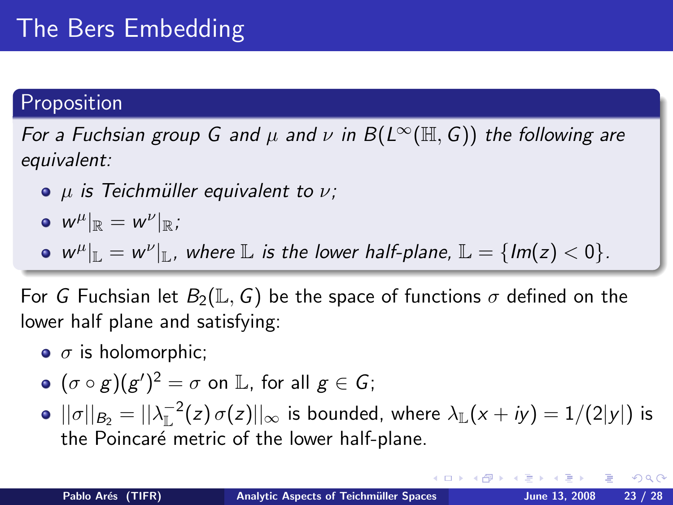# The Bers Embedding

### Proposition

For a Fuchsian group G and  $\mu$  and  $\nu$  in  $B(L^{\infty}(\mathbb{H}, G))$  the following are equivalent:

- $\bullet$   $\mu$  is Teichmüller equivalent to  $\nu$ ;
- $\|w^\mu\|_{\mathbb{R}} = w^\nu\|_{\mathbb{R}}$ ;
- $w^{\mu}|_{\mathbb{L}} = w^{\nu}|_{\mathbb{L}}$ , where  $\mathbb{L}$  is the lower half-plane,  $\mathbb{L} = \{Im(z) < 0\}.$

For G Fuchsian let  $B_2(\mathbb{L}, G)$  be the space of functions  $\sigma$  defined on the lower half plane and satisfying:

- $\bullet$   $\sigma$  is holomorphic;
- $(\sigma \circ g) (g')^2 = \sigma$  on  $\mathbb{L}$ , for all  $g \in \mathcal{G}$ ;
- $||\sigma||_{B_2} = ||\lambda_{\mathbb{L}}^{-2}(z) \, \sigma(z)||_{\infty}$  is bounded, where  $\lambda_{\mathbb{L}}(x+iy) = 1/(2|y|)$  is the Poincaré metric of the lower half-plane.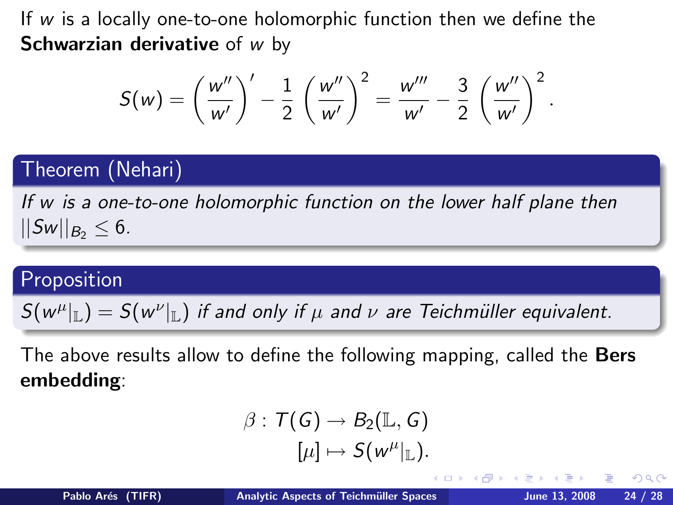If  $w$  is a locally one-to-one holomorphic function then we define the **Schwarzian derivative** of  $w$  by

$$
S(w) = \left(\frac{w''}{w'}\right)' - \frac{1}{2} \left(\frac{w''}{w'}\right)^2 = \frac{w'''}{w'} - \frac{3}{2} \left(\frac{w''}{w'}\right)^2.
$$

### Theorem (Nehari)

If w is a one-to-one holomorphic function on the lower half plane then  $||Sw||_{B_2} \leq 6.$ 

### Proposition

 $S(w^{\mu}|_{\mathbb{L}}) = S(w^{\nu}|_{\mathbb{L}})$  if and only if  $\mu$  and  $\nu$  are Teichmüller equivalent.

The above results allow to define the following mapping, called the Bers embedding:

$$
\beta: T(G) \to B_2(\mathbb{L}, G)
$$

$$
[\mu] \mapsto S(w^{\mu}|_{\mathbb{L}}).
$$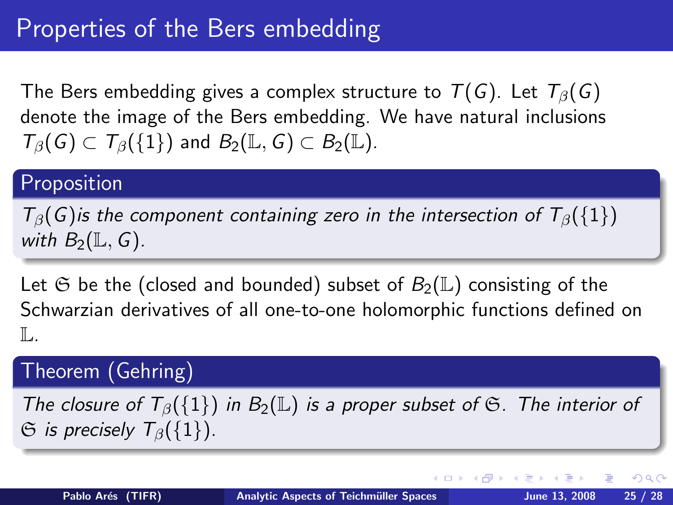The Bers embedding gives a complex structure to  $T(G)$ . Let  $T_\beta(G)$ denote the image of the Bers embedding. We have natural inclusions  $T_{\beta}(\mathcal{G}) \subset T_{\beta}(\{1\})$  and  $B_2(\mathbb{L}, \mathcal{G}) \subset B_2(\mathbb{L}).$ 

### Proposition

 $T_\beta(G)$  is the component containing zero in the intersection of  $T_\beta({1})$ with  $B_2(\mathbb{L}, G)$ .

Let G be the (closed and bounded) subset of  $B_2(\mathbb{L})$  consisting of the Schwarzian derivatives of all one-to-one holomorphic functions defined on  $\mathbb{L}$ .

### Theorem (Gehring)

The closure of  $T_\beta({1})$  in  $B_2(\mathbb{L})$  is a proper subset of  $\mathfrak S$ . The interior of  $\Im$  is precisely  $T_{\beta}(\{1\})$ .

 $200$ 

∢ ロ ▶ . ∢ 何 ▶ . ∢ ヨ ▶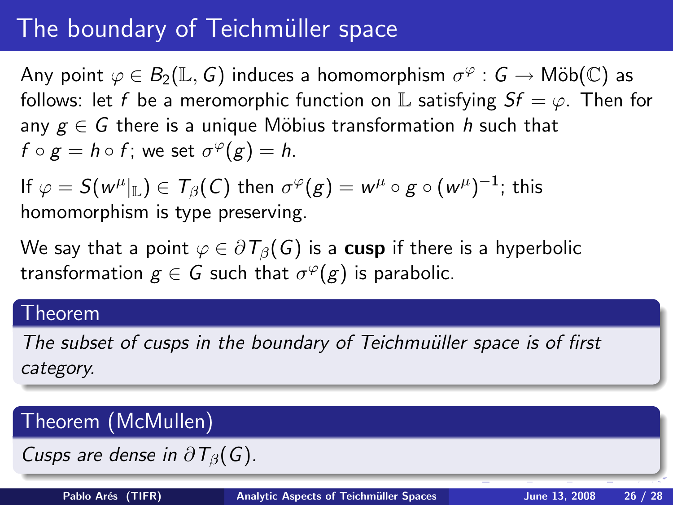# The boundary of Teichmüller space

Any point  $\varphi \in B_2(\mathbb{L},\mathsf{G})$  induces a homomorphism  $\sigma^\varphi: \mathsf{G} \to \mathsf{M\ddot{o}b}(\mathbb{C})$  as follows: let f be a meromorphic function on L satisfying  $Sf = \varphi$ . Then for any  $g \in G$  there is a unique Möbius transformation h such that  $f \circ g = h \circ f$ ; we set  $\sigma^{\varphi}(g) = h$ .

If  $\varphi = \mathcal{S}(w^\mu|_{\mathbb{L}}) \in \mathcal{T}_\beta(\mathcal{C})$  then  $\sigma^\varphi(g) = w^\mu \circ g \circ (w^\mu)^{-1};$  this homomorphism is type preserving.

We say that a point  $\varphi \in \partial T_{\beta}(G)$  is a cusp if there is a hyperbolic transformation  $g \in \overline{G}$  such that  $\sigma^\varphi(g)$  is parabolic.

#### Theorem

The subset of cusps in the boundary of Teichmuüller space is of first category.

# Theorem (McMullen) Cusps are dense in  $\partial T_{\beta}(G)$ . Pablo Arés (TIFR) Analytic Aspects of Teichmüller Spaces June 13, 2008 26 / 28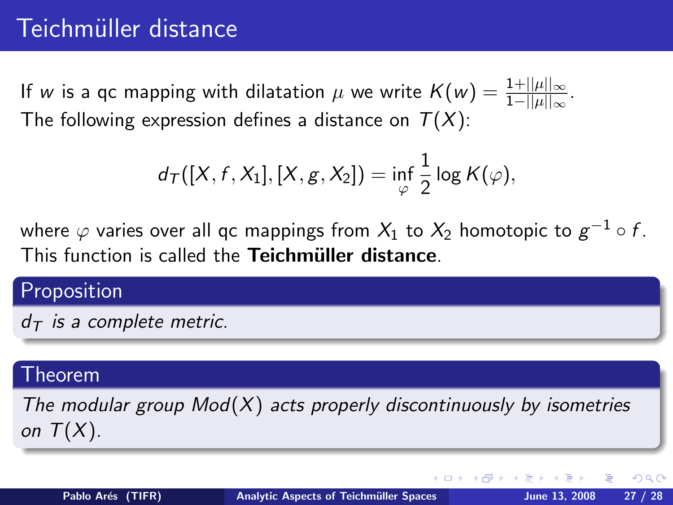If  $w$  is a qc mapping with dilatation  $\mu$  we write  $\mathcal{K}(w) = \frac{1+||\mu||_\infty}{1-||\mu||_\infty}$ . The following expression defines a distance on  $T(X)$ :

$$
d_{\mathcal{T}}([X, f, X_1], [X, g, X_2]) = \inf_{\varphi} \frac{1}{2} \log K(\varphi),
$$

where  $\varphi$  varies over all qc mappings from  $X_1$  to  $X_2$  homotopic to  $g^{-1}\circ f$ . This function is called the Teichmüller distance.

# Proposition  $d_{\mathcal{T}}$  is a complete metric.

#### Theorem

The modular group  $Mod(X)$  acts properly discontinuously by isometries on  $T(X)$ .

つくい